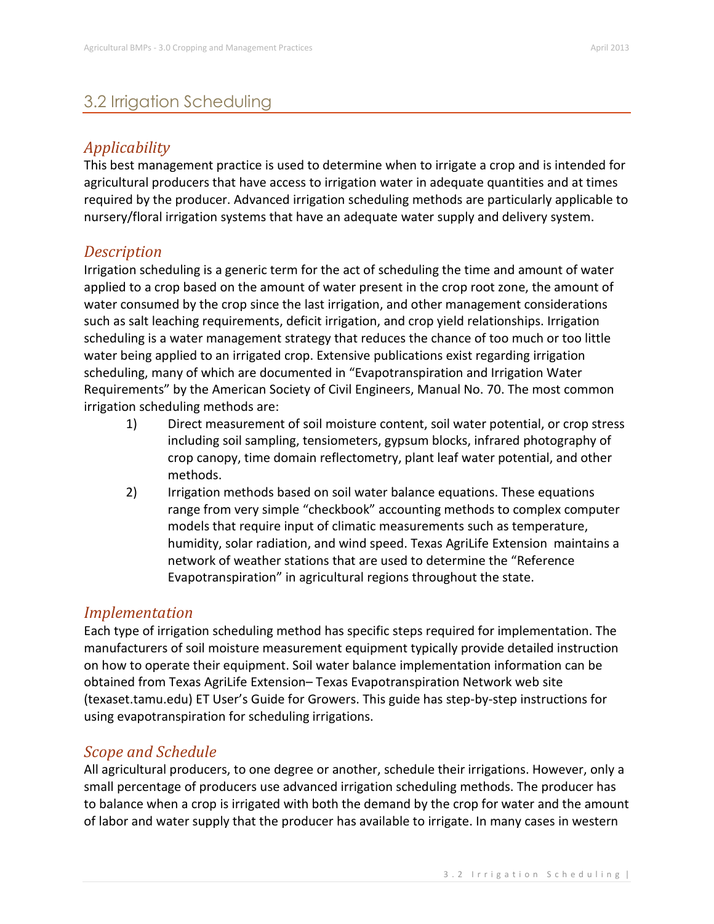# 3.2 Irrigation Scheduling

# *Applicability*

This best management practice is used to determine when to irrigate a crop and is intended for agricultural producers that have access to irrigation water in adequate quantities and at times required by the producer. Advanced irrigation scheduling methods are particularly applicable to nursery/floral irrigation systems that have an adequate water supply and delivery system.

## *Description*

Irrigation scheduling is a generic term for the act of scheduling the time and amount of water applied to a crop based on the amount of water present in the crop root zone, the amount of water consumed by the crop since the last irrigation, and other management considerations such as salt leaching requirements, deficit irrigation, and crop yield relationships. Irrigation scheduling is a water management strategy that reduces the chance of too much or too little water being applied to an irrigated crop. Extensive publications exist regarding irrigation scheduling, many of which are documented in "Evapotranspiration and Irrigation Water Requirements" by the American Society of Civil Engineers, Manual No. 70. The most common irrigation scheduling methods are:

- 1) Direct measurement of soil moisture content, soil water potential, or crop stress including soil sampling, tensiometers, gypsum blocks, infrared photography of crop canopy, time domain reflectometry, plant leaf water potential, and other methods.
- 2) Irrigation methods based on soil water balance equations. These equations range from very simple "checkbook" accounting methods to complex computer models that require input of climatic measurements such as temperature, humidity, solar radiation, and wind speed. Texas AgriLife Extension maintains a network of weather stations that are used to determine the "Reference Evapotranspiration" in agricultural regions throughout the state.

## *Implementation*

Each type of irrigation scheduling method has specific steps required for implementation. The manufacturers of soil moisture measurement equipment typically provide detailed instruction on how to operate their equipment. Soil water balance implementation information can be obtained from Texas AgriLife Extension– Texas Evapotranspiration Network web site (texaset.tamu.edu) ET User's Guide for Growers. This guide has step-by-step instructions for using evapotranspiration for scheduling irrigations.

# *Scope and Schedule*

All agricultural producers, to one degree or another, schedule their irrigations. However, only a small percentage of producers use advanced irrigation scheduling methods. The producer has to balance when a crop is irrigated with both the demand by the crop for water and the amount of labor and water supply that the producer has available to irrigate. In many cases in western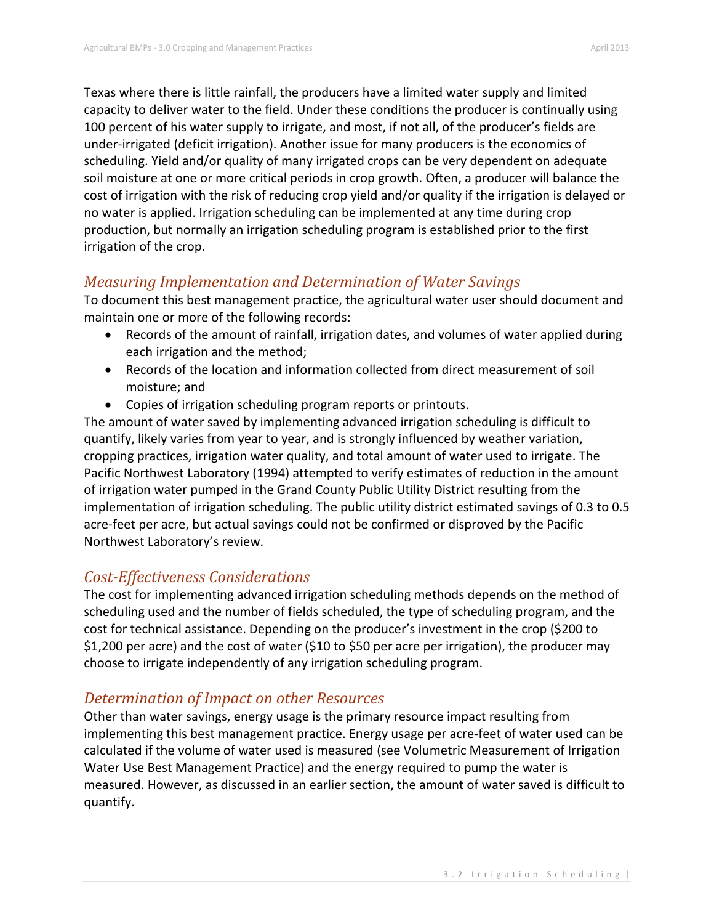Texas where there is little rainfall, the producers have a limited water supply and limited capacity to deliver water to the field. Under these conditions the producer is continually using 100 percent of his water supply to irrigate, and most, if not all, of the producer's fields are under-irrigated (deficit irrigation). Another issue for many producers is the economics of scheduling. Yield and/or quality of many irrigated crops can be very dependent on adequate soil moisture at one or more critical periods in crop growth. Often, a producer will balance the cost of irrigation with the risk of reducing crop yield and/or quality if the irrigation is delayed or no water is applied. Irrigation scheduling can be implemented at any time during crop production, but normally an irrigation scheduling program is established prior to the first irrigation of the crop.

#### *Measuring Implementation and Determination of Water Savings*

To document this best management practice, the agricultural water user should document and maintain one or more of the following records:

- Records of the amount of rainfall, irrigation dates, and volumes of water applied during each irrigation and the method;
- Records of the location and information collected from direct measurement of soil moisture; and
- Copies of irrigation scheduling program reports or printouts.

The amount of water saved by implementing advanced irrigation scheduling is difficult to quantify, likely varies from year to year, and is strongly influenced by weather variation, cropping practices, irrigation water quality, and total amount of water used to irrigate. The Pacific Northwest Laboratory (1994) attempted to verify estimates of reduction in the amount of irrigation water pumped in the Grand County Public Utility District resulting from the implementation of irrigation scheduling. The public utility district estimated savings of 0.3 to 0.5 acre-feet per acre, but actual savings could not be confirmed or disproved by the Pacific Northwest Laboratory's review.

### *Cost-Effectiveness Considerations*

The cost for implementing advanced irrigation scheduling methods depends on the method of scheduling used and the number of fields scheduled, the type of scheduling program, and the cost for technical assistance. Depending on the producer's investment in the crop (\$200 to \$1,200 per acre) and the cost of water (\$10 to \$50 per acre per irrigation), the producer may choose to irrigate independently of any irrigation scheduling program.

### *Determination of Impact on other Resources*

Other than water savings, energy usage is the primary resource impact resulting from implementing this best management practice. Energy usage per acre-feet of water used can be calculated if the volume of water used is measured (see Volumetric Measurement of Irrigation Water Use Best Management Practice) and the energy required to pump the water is measured. However, as discussed in an earlier section, the amount of water saved is difficult to quantify.